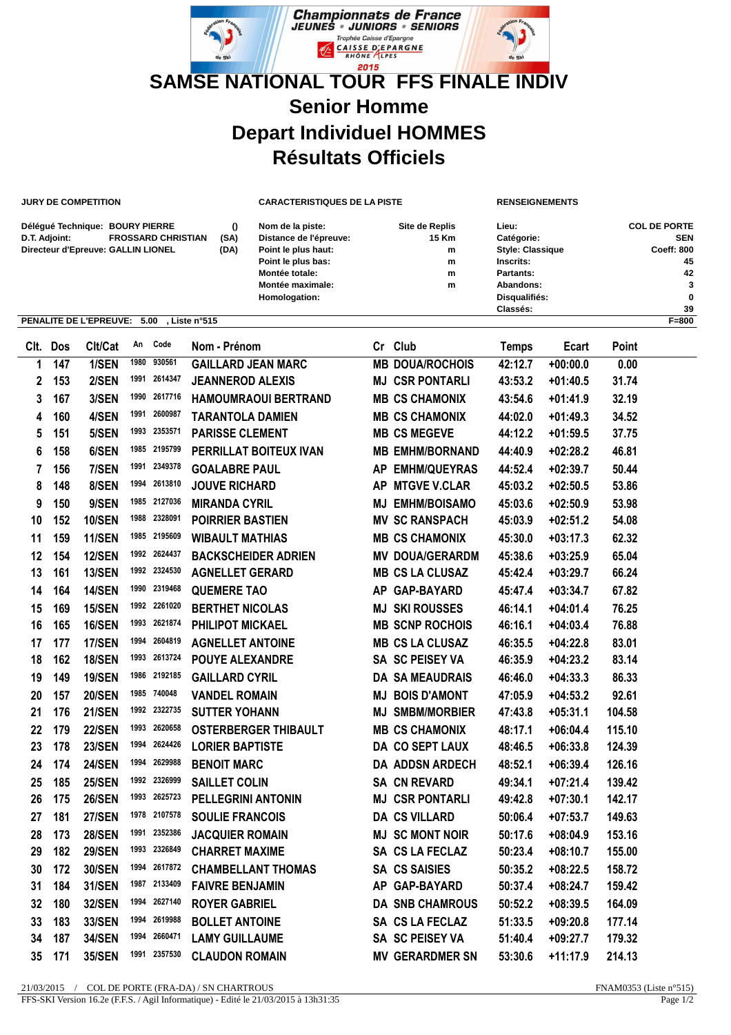

**JURY DE COMPETITION CARACTERISTIQUES DE LA PISTE RENSEIGNEMENTS**

| Délégué Technique: BOURY PIERRE            |      | Nom de la piste:       | Site de Replis | Lieu:                   | <b>COL DE PORTE</b> |
|--------------------------------------------|------|------------------------|----------------|-------------------------|---------------------|
| <b>FROSSARD CHRISTIAN</b><br>D.T. Adjoint: | (SA) | Distance de l'épreuve: | 15 Km          | Catégorie:              | <b>SEN</b>          |
| Directeur d'Epreuve: GALLIN LIONEL         | (DA) | Point le plus haut:    | m              | <b>Style: Classique</b> | <b>Coeff: 800</b>   |
|                                            |      | Point le plus bas:     | m              | Inscrits:               | 45                  |
|                                            |      | Montée totale:         | m              | Partants:               | 42                  |
|                                            |      | Montée maximale:       | m              | Abandons:               | 3                   |
|                                            |      | Homologation:          |                | Disqualifiés:           | 0                   |
|                                            |      |                        |                | Classés:                | 39                  |

## **PENALITE DE L'EPREUVE: 5.00 , Liste n°515 F=800**

| Clt. | Dos | Clt/Cat       | An   | Code         | Nom - Prénom                | Cr Club                | <b>Temps</b> | Ecart      | Point  |
|------|-----|---------------|------|--------------|-----------------------------|------------------------|--------------|------------|--------|
| 1    | 147 | 1/SEN         | 1980 | 930561       | <b>GAILLARD JEAN MARC</b>   | <b>MB DOUA/ROCHOIS</b> | 42:12.7      | $+00:00.0$ | 0.00   |
| 2    | 153 | 2/SEN         | 1991 | 2614347      | <b>JEANNEROD ALEXIS</b>     | <b>MJ CSR PONTARLI</b> | 43:53.2      | $+01:40.5$ | 31.74  |
| 3    | 167 | 3/SEN         |      | 1990 2617716 | <b>HAMOUMRAOUI BERTRAND</b> | <b>MB CS CHAMONIX</b>  | 43:54.6      | $+01:41.9$ | 32.19  |
| 4    | 160 | 4/SEN         | 1991 | 2600987      | <b>TARANTOLA DAMIEN</b>     | <b>MB CS CHAMONIX</b>  | 44:02.0      | $+01:49.3$ | 34.52  |
| 5    | 151 | 5/SEN         |      | 1993 2353571 | <b>PARISSE CLEMENT</b>      | <b>MB CS MEGEVE</b>    | 44:12.2      | $+01:59.5$ | 37.75  |
| 6    | 158 | 6/SEN         | 1985 | 2195799      | PERRILLAT BOITEUX IVAN      | <b>MB EMHM/BORNAND</b> | 44:40.9      | $+02:28.2$ | 46.81  |
| 7    | 156 | 7/SEN         | 1991 | 2349378      | <b>GOALABRE PAUL</b>        | AP EMHM/QUEYRAS        | 44:52.4      | $+02:39.7$ | 50.44  |
| 8    | 148 | 8/SEN         | 1994 | 2613810      | <b>JOUVE RICHARD</b>        | AP MTGVE V.CLAR        | 45:03.2      | $+02:50.5$ | 53.86  |
| 9    | 150 | 9/SEN         |      | 1985 2127036 | <b>MIRANDA CYRIL</b>        | <b>MJ EMHM/BOISAMO</b> | 45:03.6      | $+02:50.9$ | 53.98  |
| 10   | 152 | <b>10/SEN</b> | 1988 | 2328091      | <b>POIRRIER BASTIEN</b>     | <b>MV SC RANSPACH</b>  | 45:03.9      | $+02:51.2$ | 54.08  |
| 11   | 159 | <b>11/SEN</b> |      | 1985 2195609 | <b>WIBAULT MATHIAS</b>      | <b>MB CS CHAMONIX</b>  | 45:30.0      | $+03:17.3$ | 62.32  |
| 12   | 154 | <b>12/SEN</b> |      | 1992 2624437 | <b>BACKSCHEIDER ADRIEN</b>  | <b>MV DOUA/GERARDM</b> | 45:38.6      | $+03:25.9$ | 65.04  |
| 13   | 161 | <b>13/SEN</b> |      | 1992 2324530 | <b>AGNELLET GERARD</b>      | <b>MB CS LA CLUSAZ</b> | 45:42.4      | $+03:29.7$ | 66.24  |
| 14   | 164 | <b>14/SEN</b> |      | 1990 2319468 | <b>QUEMERE TAO</b>          | AP GAP-BAYARD          | 45:47.4      | $+03:34.7$ | 67.82  |
| 15   | 169 | <b>15/SEN</b> |      | 1992 2261020 | <b>BERTHET NICOLAS</b>      | <b>MJ SKI ROUSSES</b>  | 46:14.1      | $+04:01.4$ | 76.25  |
| 16   | 165 | <b>16/SEN</b> |      | 1993 2621874 | <b>PHILIPOT MICKAEL</b>     | <b>MB SCNP ROCHOIS</b> | 46:16.1      | $+04:03.4$ | 76.88  |
| 17   | 177 | <b>17/SEN</b> |      | 1994 2604819 | <b>AGNELLET ANTOINE</b>     | <b>MB CS LA CLUSAZ</b> | 46:35.5      | $+04:22.8$ | 83.01  |
| 18   | 162 | <b>18/SEN</b> |      | 1993 2613724 | <b>POUYE ALEXANDRE</b>      | SA SC PEISEY VA        | 46:35.9      | $+04:23.2$ | 83.14  |
| 19   | 149 | <b>19/SEN</b> |      | 1986 2192185 | <b>GAILLARD CYRIL</b>       | <b>DA SA MEAUDRAIS</b> | 46:46.0      | $+04:33.3$ | 86.33  |
| 20   | 157 | <b>20/SEN</b> |      | 1985 740048  | <b>VANDEL ROMAIN</b>        | <b>MJ BOIS D'AMONT</b> | 47:05.9      | $+04:53.2$ | 92.61  |
| 21   | 176 | <b>21/SEN</b> | 1992 | 2322735      | <b>SUTTER YOHANN</b>        | <b>MJ SMBM/MORBIER</b> | 47:43.8      | $+05:31.1$ | 104.58 |
| 22   | 179 | <b>22/SEN</b> | 1993 | 2620658      | <b>OSTERBERGER THIBAULT</b> | <b>MB CS CHAMONIX</b>  | 48:17.1      | $+06:04.4$ | 115.10 |
| 23   | 178 | <b>23/SEN</b> | 1994 | 2624426      | <b>LORIER BAPTISTE</b>      | DA CO SEPT LAUX        | 48:46.5      | $+06:33.8$ | 124.39 |
| 24   | 174 | <b>24/SEN</b> | 1994 | 2629988      | <b>BENOIT MARC</b>          | <b>DA ADDSN ARDECH</b> | 48:52.1      | $+06:39.4$ | 126.16 |
| 25   | 185 | <b>25/SEN</b> |      | 1992 2326999 | <b>SAILLET COLIN</b>        | <b>SA CN REVARD</b>    | 49:34.1      | $+07:21.4$ | 139.42 |
| 26   | 175 | <b>26/SEN</b> | 1993 | 2625723      | <b>PELLEGRINI ANTONIN</b>   | <b>MJ CSR PONTARLI</b> | 49:42.8      | $+07:30.1$ | 142.17 |
| 27   | 181 | <b>27/SEN</b> |      | 1978 2107578 | <b>SOULIE FRANCOIS</b>      | <b>DA CS VILLARD</b>   | 50:06.4      | $+07:53.7$ | 149.63 |
| 28   | 173 | <b>28/SEN</b> | 1991 | 2352386      | <b>JACQUIER ROMAIN</b>      | <b>MJ SC MONT NOIR</b> | 50:17.6      | $+08:04.9$ | 153.16 |
| 29   | 182 | <b>29/SEN</b> |      | 1993 2326849 | <b>CHARRET MAXIME</b>       | <b>SA CS LA FECLAZ</b> | 50:23.4      | $+08:10.7$ | 155.00 |
| 30   | 172 | <b>30/SEN</b> | 1994 | 2617872      | <b>CHAMBELLANT THOMAS</b>   | <b>SA CS SAISIES</b>   | 50:35.2      | $+08:22.5$ | 158.72 |
| 31   | 184 | <b>31/SEN</b> | 1987 | 2133409      | <b>FAIVRE BENJAMIN</b>      | AP GAP-BAYARD          | 50:37.4      | $+08:24.7$ | 159.42 |
| 32   | 180 | <b>32/SEN</b> | 1994 | 2627140      | <b>ROYER GABRIEL</b>        | <b>DA SNB CHAMROUS</b> | 50:52.2      | $+08:39.5$ | 164.09 |
| 33   | 183 | 33/SEN        | 1994 | 2619988      | <b>BOLLET ANTOINE</b>       | SA CS LA FECLAZ        | 51:33.5      | $+09:20.8$ | 177.14 |
| 34   | 187 | <b>34/SEN</b> | 1994 | 2660471      | <b>LAMY GUILLAUME</b>       | SA SC PEISEY VA        | 51:40.4      | $+09:27.7$ | 179.32 |
| 35   | 171 | <b>35/SEN</b> | 1991 | 2357530      | <b>CLAUDON ROMAIN</b>       | <b>MV GERARDMER SN</b> | 53:30.6      | $+11:17.9$ | 214.13 |
|      |     |               |      |              |                             |                        |              |            |        |

21/03/2015 / COL DE PORTE (FRA-DA) / SN CHARTROUS **FINAMOS** FOR THE SERVICE OF STRAMOSS (Liste n°515)